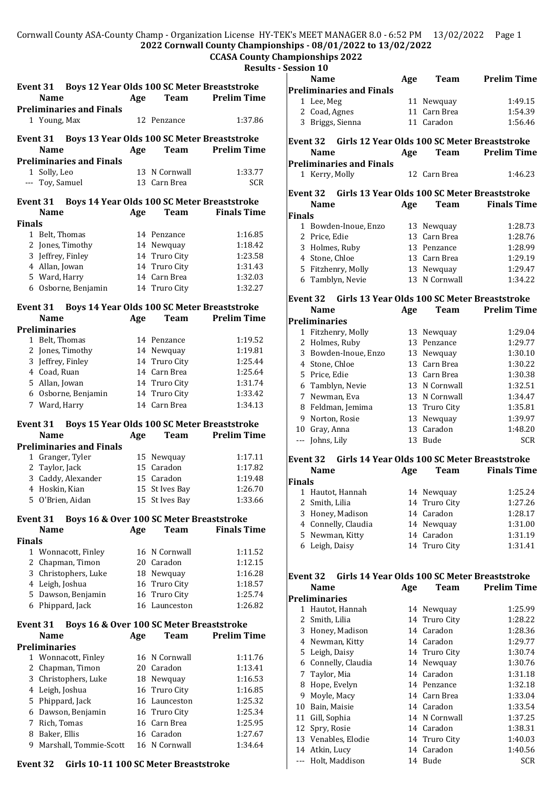#### Cornwall County ASA-County Champ - Organization License HY-TEK's MEET MANAGER 8.0 - 6:52 PM 13/02/2022 Page 1 **2022 Cornwall County Championships - 08/01/2022 to 13/02/2022**

# **CCASA County Championships 2022**

## **Results - Sessi**

|               | Event 31 Boys 12 Year Olds 100 SC Meter Breaststroke    |     |                |                    |  |  |
|---------------|---------------------------------------------------------|-----|----------------|--------------------|--|--|
|               | <b>Name</b>                                             |     |                |                    |  |  |
|               |                                                         | Age | <b>Team</b>    | Prelim Time        |  |  |
|               | <b>Preliminaries and Finals</b>                         |     |                |                    |  |  |
|               | 1 Young, Max                                            |     | 12 Penzance    | 1:37.86            |  |  |
|               |                                                         |     |                |                    |  |  |
|               | Event 31 Boys 13 Year Olds 100 SC Meter Breaststroke    |     |                |                    |  |  |
|               | Name                                                    | Age | Team           | <b>Prelim Time</b> |  |  |
|               | <b>Preliminaries and Finals</b>                         |     |                |                    |  |  |
|               | 1 Solly, Leo                                            |     | 13 N Cornwall  | 1:33.77            |  |  |
|               | --- Toy, Samuel                                         |     | 13 Carn Brea   | <b>SCR</b>         |  |  |
|               |                                                         |     |                |                    |  |  |
| Event 31      | Boys 14 Year Olds 100 SC Meter Breaststroke             |     |                |                    |  |  |
|               | <b>Name</b>                                             | Age | <b>Team</b>    | <b>Finals Time</b> |  |  |
| <b>Finals</b> |                                                         |     |                |                    |  |  |
|               | 1 Belt, Thomas                                          |     | 14 Penzance    | 1:16.85            |  |  |
|               | 2 Jones, Timothy                                        |     | 14 Newquay     | 1:18.42            |  |  |
|               | 3 Jeffrey, Finley                                       |     | 14 Truro City  | 1:23.58            |  |  |
|               | 4 Allan, Jowan                                          | 14  | Truro City     | 1:31.43            |  |  |
|               | 5 Ward, Harry                                           |     | 14 Carn Brea   | 1:32.03            |  |  |
|               | 6 Osborne, Benjamin                                     |     | 14 Truro City  | 1:32.27            |  |  |
|               |                                                         |     |                |                    |  |  |
|               | Event 31 Boys 14 Year Olds 100 SC Meter Breaststroke    |     |                |                    |  |  |
|               | <b>Name</b>                                             | Age | <b>Team</b>    | <b>Prelim Time</b> |  |  |
|               | <b>Preliminaries</b>                                    |     |                |                    |  |  |
|               | 1 Belt, Thomas                                          |     | 14 Penzance    | 1:19.52            |  |  |
|               | 2 Jones, Timothy                                        |     | 14 Newquay     | 1:19.81            |  |  |
|               | 3 Jeffrey, Finley                                       | 14  | Truro City     | 1:25.44            |  |  |
|               |                                                         |     |                |                    |  |  |
|               | 4 Coad, Ruan                                            |     | 14 Carn Brea   | 1:25.64            |  |  |
|               | 5 Allan, Jowan                                          |     | 14 Truro City  | 1:31.74            |  |  |
|               | 6 Osborne, Benjamin                                     |     | 14 Truro City  | 1:33.42            |  |  |
| 7             | Ward, Harry                                             |     | 14 Carn Brea   | 1:34.13            |  |  |
|               |                                                         |     |                |                    |  |  |
|               |                                                         |     |                |                    |  |  |
| Event 31      | Boys 15 Year Olds 100 SC Meter Breaststroke             |     |                |                    |  |  |
|               | Name                                                    | Age | Team           | <b>Prelim Time</b> |  |  |
|               | <b>Preliminaries and Finals</b>                         |     |                |                    |  |  |
|               | 1 Granger, Tyler                                        |     | 15 Newquay     | 1:17.11            |  |  |
|               | 2 Taylor, Jack                                          |     | 15 Caradon     | 1:17.82            |  |  |
|               | 3 Caddy, Alexander                                      |     | 15 Caradon     | 1:19.48            |  |  |
|               | 4 Hoskin, Kian                                          |     | 15 St Ives Bay | 1:26.70            |  |  |
| 5.            | O'Brien, Aidan                                          |     | 15 St Ives Bay | 1:33.66            |  |  |
|               |                                                         |     |                |                    |  |  |
| Event 31      | Boys 16 & Over 100 SC Meter Breaststroke                |     |                |                    |  |  |
|               | Name                                                    | Age | <b>Team</b>    | <b>Finals Time</b> |  |  |
| <b>Finals</b> |                                                         |     |                |                    |  |  |
|               | 1 Wonnacott, Finley                                     |     | 16 N Cornwall  | 1:11.52            |  |  |
| 2             | Chapman, Timon                                          |     | 20 Caradon     | 1:12.15            |  |  |
|               | 3 Christophers, Luke                                    |     | 18 Newquay     | 1:16.28            |  |  |
|               |                                                         |     |                | 1:18.57            |  |  |
|               | 4 Leigh, Joshua                                         |     | 16 Truro City  |                    |  |  |
|               | 5 Dawson, Benjamin                                      |     | 16 Truro City  | 1:25.74            |  |  |
|               | 6 Phippard, Jack                                        |     | 16 Launceston  | 1:26.82            |  |  |
| Event 31      |                                                         |     |                |                    |  |  |
|               | Boys 16 & Over 100 SC Meter Breaststroke<br><b>Name</b> | Age | <b>Team</b>    | <b>Prelim Time</b> |  |  |
|               | <b>Preliminaries</b>                                    |     |                |                    |  |  |
|               |                                                         |     |                |                    |  |  |
|               | 1 Wonnacott, Finley                                     |     | 16 N Cornwall  | 1:11.76            |  |  |
|               | 2 Chapman, Timon                                        |     | 20 Caradon     | 1:13.41            |  |  |
|               | 3 Christophers, Luke                                    |     | 18 Newquay     | 1:16.53            |  |  |
|               | 4 Leigh, Joshua                                         |     | 16 Truro City  | 1:16.85            |  |  |
| 5             | Phippard, Jack                                          |     | 16 Launceston  | 1:25.32            |  |  |
|               | 6 Dawson, Benjamin                                      |     | 16 Truro City  | 1:25.34            |  |  |
| 7             | Rich, Tomas                                             |     | 16 Carn Brea   | 1:25.95            |  |  |
|               | 8 Baker, Ellis                                          |     | 16 Caradon     | 1:27.67            |  |  |
|               | 9 Marshall, Tommie-Scott                                |     | 16 N Cornwall  | 1:34.64            |  |  |

### **Event 32 Girls 10-11 100 SC Meter Breaststroke**

|                                                          | ession 10                       |     |                   |                                              |  |
|----------------------------------------------------------|---------------------------------|-----|-------------------|----------------------------------------------|--|
| <b>Name</b>                                              |                                 | Age | Team              | <b>Prelim Time</b>                           |  |
|                                                          | <b>Preliminaries and Finals</b> |     |                   |                                              |  |
|                                                          | 1 Lee, Meg                      | 11  | Newquay           | 1:49.15                                      |  |
|                                                          | 2 Coad, Agnes                   | 11  | Carn Brea         | 1:54.39                                      |  |
|                                                          | 3 Briggs, Sienna                |     | 11 Caradon        | 1:56.46                                      |  |
| Girls 12 Year Olds 100 SC Meter Breaststroke<br>Event 32 |                                 |     |                   |                                              |  |
|                                                          | <b>Name</b>                     | Age | <b>Team</b>       | <b>Prelim Time</b>                           |  |
|                                                          | <b>Preliminaries and Finals</b> |     |                   |                                              |  |
|                                                          | 1 Kerry, Molly                  |     | 12 Carn Brea      | 1:46.23                                      |  |
| <b>Event 32</b>                                          |                                 |     |                   | Girls 13 Year Olds 100 SC Meter Breaststroke |  |
|                                                          | <b>Name</b>                     | Age | <b>Team</b>       | <b>Finals Time</b>                           |  |
| Finals                                                   |                                 |     |                   |                                              |  |
| $\mathbf{1}$                                             | Bowden-Inoue, Enzo              | 13  | Newquay           | 1:28.73                                      |  |
|                                                          | 2 Price, Edie                   | 13  | Carn Brea         | 1:28.76                                      |  |
|                                                          | 3 Holmes, Ruby                  | 13  | Penzance          | 1:28.99                                      |  |
|                                                          | 4 Stone, Chloe                  |     | 13 Carn Brea      | 1:29.19                                      |  |
|                                                          | 5 Fitzhenry, Molly              | 13  | Newquay           | 1:29.47                                      |  |
|                                                          | 6 Tamblyn, Nevie                | 13  | N Cornwall        | 1:34.22                                      |  |
| <b>Event 32</b>                                          |                                 |     |                   | Girls 13 Year Olds 100 SC Meter Breaststroke |  |
|                                                          | <b>Name</b>                     | Age | <b>Team</b>       | <b>Prelim Time</b>                           |  |
|                                                          | Preliminaries                   |     |                   |                                              |  |
|                                                          | 1 Fitzhenry, Molly              | 13  | Newquay           | 1:29.04                                      |  |
| 2                                                        | Holmes, Ruby                    | 13  | Penzance          | 1:29.77                                      |  |
| 3                                                        | Bowden-Inoue, Enzo              | 13  | Newquay           | 1:30.10                                      |  |
|                                                          | 4 Stone, Chloe                  |     | 13 Carn Brea      | 1:30.22                                      |  |
| 5                                                        | Price, Edie                     | 13  | Carn Brea         | 1:30.38                                      |  |
| 6                                                        | Tamblyn, Nevie                  | 13  | N Cornwall        | 1:32.51                                      |  |
|                                                          | 7 Newman, Eva                   | 13  | N Cornwall        | 1:34.47                                      |  |
| 8                                                        | Feldman, Jemima                 | 13  | Truro City        | 1:35.81                                      |  |
| 9                                                        | Norton, Rosie                   | 13  | Newquay           | 1:39.97                                      |  |
|                                                          | 10 Gray, Anna                   | 13  | Caradon           | 1:48.20                                      |  |
| ---                                                      | Johns, Lily                     | 13  | Bude              | <b>SCR</b>                                   |  |
| <b>Event 32</b>                                          |                                 |     |                   | Girls 14 Year Olds 100 SC Meter Breaststroke |  |
|                                                          | <b>Name</b>                     | Age | <b>Team</b>       | <b>Finals Time</b>                           |  |
| Finals                                                   |                                 |     |                   |                                              |  |
|                                                          | 1 Hautot, Hannah                |     | 14 Newquay        | 1:25.24                                      |  |
|                                                          | 2 Smith, Lilia                  |     | 14 Truro City     | 1:27.26                                      |  |
| 3                                                        | Honey, Madison                  |     | 14 Caradon        | 1:28.17                                      |  |
|                                                          | 4 Connelly, Claudia             | 14  | Newquay           | 1:31.00                                      |  |
| 5                                                        | Newman, Kitty                   |     | 14 Caradon        | 1:31.19                                      |  |
| 6                                                        | Leigh, Daisy                    | 14  | <b>Truro City</b> | 1:31.41                                      |  |

#### **Event 32 Girls 14 Year Olds 100 SC Meter Breaststroke Name Age Team Prelim Time**

|    | <b>Preliminaries</b> |    |               |            |
|----|----------------------|----|---------------|------------|
| 1  | Hautot, Hannah       |    | 14 Newquay    | 1:25.99    |
| 2  | Smith, Lilia         |    | 14 Truro City | 1:28.22    |
| 3  | Honey, Madison       |    | 14 Caradon    | 1:28.36    |
| 4  | Newman, Kitty        |    | 14 Caradon    | 1:29.77    |
| 5  | Leigh, Daisy         |    | 14 Truro City | 1:30.74    |
| 6  | Connelly, Claudia    |    | 14 Newquay    | 1:30.76    |
| 7  | Taylor, Mia          |    | 14 Caradon    | 1:31.18    |
| 8  | Hope, Evelyn         |    | 14 Penzance   | 1:32.18    |
| 9  | Moyle, Macy          |    | 14 Carn Brea  | 1:33.04    |
| 10 | Bain, Maisie         |    | 14 Caradon    | 1:33.54    |
| 11 | Gill, Sophia         |    | 14 N Cornwall | 1:37.25    |
| 12 | Spry, Rosie          |    | 14 Caradon    | 1:38.31    |
|    | 13 Venables, Elodie  |    | 14 Truro City | 1:40.03    |
|    | 14 Atkin, Lucy       | 14 | Caradon       | 1:40.56    |
|    | --- Holt, Maddison   | 14 | Bude          | <b>SCR</b> |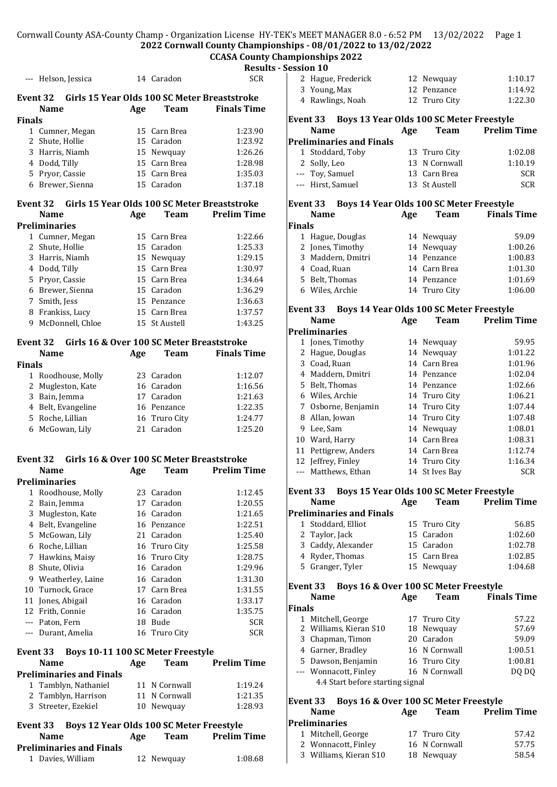Cornwall County ASA-County Champ - Organization License HY-TEK's MEET MANAGER 8.0 - 6:52 PM 13/02/2022 Page 1 **2022 Cornwall County Championships - 08/01/2022 to 13/02/2022**

# **CCASA County Championships 2022**

|               | --- Helson, Jessica                                                  |     | 14 Caradon    | Resu<br><b>SCR</b> |
|---------------|----------------------------------------------------------------------|-----|---------------|--------------------|
|               | Event 32 Girls 15 Year Olds 100 SC Meter Breaststroke<br><b>Name</b> | Age | <b>Team</b>   | <b>Finals Time</b> |
| <b>Finals</b> |                                                                      |     |               |                    |
|               | 1 Cumner, Megan                                                      |     | 15 Carn Brea  | 1:23.90            |
| $\mathbf{2}$  | Shute, Hollie                                                        |     | 15 Caradon    | 1:23.92            |
|               | 3 Harris, Niamh                                                      |     | 15 Newquay    | 1:26.26            |
|               | 4 Dodd, Tilly                                                        |     | 15 Carn Brea  | 1:28.98            |
|               | 5 Pryor, Cassie                                                      |     | 15 Carn Brea  | 1:35.03            |
|               | 6 Brewer, Sienna                                                     |     | 15 Caradon    | 1:37.18            |
|               | Event 32 Girls 15 Year Olds 100 SC Meter Breaststroke<br><b>Name</b> | Age | Team          | <b>Prelim Time</b> |
|               | <b>Preliminaries</b>                                                 |     |               |                    |
|               | 1 Cumner, Megan                                                      |     | 15 Carn Brea  | 1:22.66            |
| 2             | Shute, Hollie                                                        |     | 15 Caradon    | 1:25.33            |
|               | 3 Harris, Niamh                                                      |     | 15 Newquay    | 1:29.15            |
|               | 4 Dodd, Tilly                                                        |     | 15 Carn Brea  | 1:30.97            |
|               | 5 Pryor, Cassie                                                      |     | 15 Carn Brea  | 1:34.64            |
|               | 6 Brewer, Sienna                                                     |     | 15 Caradon    | 1:36.29            |
| 7             | Smith, Jess                                                          |     | 15 Penzance   | 1:36.63            |
|               |                                                                      |     | 15 Carn Brea  | 1:37.57            |
|               | 8 Frankiss, Lucy                                                     |     |               | 1:43.25            |
| 9             | McDonnell, Chloe                                                     |     | 15 St Austell |                    |
|               | Girls 16 & Over 100 SC Meter Breaststroke<br>Event 32<br><b>Name</b> | Age | Team          | <b>Finals Time</b> |
| <b>Finals</b> |                                                                      |     |               |                    |
|               | 1 Roodhouse, Molly                                                   |     | 23 Caradon    | 1:12.07            |
| $\mathbf{2}$  | Mugleston, Kate                                                      |     | 16 Caradon    | 1:16.56            |
|               | 3 Bain, Jemma                                                        |     | 17 Caradon    | 1:21.63            |
|               | 4 Belt, Evangeline                                                   |     | 16 Penzance   | 1:22.35            |
|               | 5 Roche, Lillian                                                     |     | 16 Truro City | 1:24.77            |
|               | 6 McGowan, Lily                                                      |     | 21 Caradon    | 1:25.20            |
|               |                                                                      |     |               |                    |
|               | Girls 16 & Over 100 SC Meter Breaststroke<br>Event 32<br>Name        | Age | <b>Team</b>   | <b>Prelim Time</b> |
|               | Preliminaries                                                        |     |               |                    |
| $1 \quad$     | Roodhouse, Molly                                                     |     | 23 Caradon    | 1:12.45            |
|               | 2 Bain, Jemma                                                        |     | 17 Caradon    | 1:20.55            |
| 3             | Mugleston, Kate                                                      |     | 16 Caradon    | 1:21.65            |
|               | 4 Belt, Evangeline                                                   |     | 16 Penzance   | 1:22.51            |
|               | 5 McGowan, Lily                                                      |     | 21 Caradon    | 1:25.40            |
|               | 6 Roche, Lillian                                                     |     | 16 Truro City | 1:25.58            |
| 7             | Hawkins, Maisy                                                       |     | 16 Truro City | 1:28.75            |
| 8             | Shute, Olivia                                                        |     | 16 Caradon    | 1:29.96            |
|               | 9 Weatherley, Laine                                                  |     | 16 Caradon    | 1:31.30            |
|               | 10 Turnock, Grace                                                    |     | 17 Carn Brea  | 1:31.55            |
|               | 11 Jones, Abigail                                                    |     | 16 Caradon    | 1:33.17            |
|               | 12 Frith, Connie                                                     |     | 16 Caradon    | 1:35.75            |
|               |                                                                      |     | 18 Bude       | <b>SCR</b>         |
|               | --- Paton, Fern<br>--- Durant, Amelia                                |     | 16 Truro City | <b>SCR</b>         |
| Event 33      | Boys 10-11 100 SC Meter Freestyle                                    |     |               |                    |
|               | <b>Name</b>                                                          | Age | Team          | <b>Prelim Time</b> |
|               | <b>Preliminaries and Finals</b>                                      |     |               |                    |
|               | 1 Tamblyn, Nathaniel                                                 |     | 11 N Cornwall | 1:19.24            |
|               | 2 Tamblyn, Harrison                                                  |     | 11 N Cornwall | 1:21.35            |
| 3             | Streeter, Ezekiel                                                    |     | 10 Newquay    | 1:28.93            |
|               | Boys 12 Year Olds 100 SC Meter Freestyle<br>Event 33                 |     |               |                    |
|               | <b>Name</b>                                                          | Age | Team          | <b>Prelim Time</b> |
|               | <b>Preliminaries and Finals</b>                                      |     |               |                    |
|               | 1 Davies, William                                                    |     | 12 Newquay    | 1:08.68            |

|               | ılts - Session 10                                           |     |                                |                    |
|---------------|-------------------------------------------------------------|-----|--------------------------------|--------------------|
|               | 2 Hague, Frederick                                          |     | 12 Newquay                     | 1:10.17            |
|               | 3 Young, Max                                                |     | 12 Penzance                    | 1:14.92            |
|               | 4 Rawlings, Noah                                            |     | 12 Truro City                  | 1:22.30            |
|               |                                                             |     |                                |                    |
|               | Boys 13 Year Olds 100 SC Meter Freestyle<br><b>Event 33</b> |     |                                |                    |
|               | <b>Name</b>                                                 | Age | Team                           | <b>Prelim Time</b> |
|               | <b>Preliminaries and Finals</b><br>1 Stoddard, Toby         |     |                                |                    |
|               | 2 Solly, Leo                                                |     | 13 Truro City<br>13 N Cornwall | 1:02.08<br>1:10.19 |
|               | --- Toy, Samuel                                             |     | 13 Carn Brea                   | <b>SCR</b>         |
|               | --- Hirst, Samuel                                           |     | 13 St Austell                  | <b>SCR</b>         |
|               |                                                             |     |                                |                    |
|               | Boys 14 Year Olds 100 SC Meter Freestyle<br>Event 33        |     |                                |                    |
|               | <b>Name</b>                                                 | Age | Team                           | <b>Finals Time</b> |
| <b>Finals</b> |                                                             |     |                                |                    |
|               | 1 Hague, Douglas                                            |     | 14 Newquay                     | 59.09              |
|               | 2 Jones, Timothy                                            |     | 14 Newquay                     | 1:00.26            |
|               | 3 Maddern, Dmitri                                           |     | 14 Penzance                    | 1:00.83            |
|               | 4 Coad, Ruan                                                |     | 14 Carn Brea                   | 1:01.30            |
|               | 5 Belt, Thomas                                              |     | 14 Penzance                    | 1:01.69            |
|               | 6 Wiles, Archie                                             |     | 14 Truro City                  | 1:06.00            |
|               | Boys 14 Year Olds 100 SC Meter Freestyle<br>Event 33        |     |                                |                    |
|               | <b>Name</b>                                                 | Age | Team                           | <b>Prelim Time</b> |
|               | <b>Preliminaries</b>                                        |     |                                |                    |
|               | 1 Jones, Timothy                                            |     | 14 Newquay                     | 59.95              |
|               | 2 Hague, Douglas                                            |     | 14 Newquay                     | 1:01.22            |
|               | 3 Coad, Ruan                                                |     | 14 Carn Brea                   | 1:01.96            |
|               | 4 Maddern, Dmitri                                           |     | 14 Penzance                    | 1:02.04            |
|               | 5 Belt, Thomas                                              |     | 14 Penzance                    | 1:02.66            |
|               | 6 Wiles, Archie                                             |     | 14 Truro City                  | 1:06.21            |
|               | 7 Osborne, Benjamin                                         |     | 14 Truro City                  | 1:07.44            |
|               | 8 Allan, Jowan                                              |     | 14 Truro City                  | 1:07.48            |
|               | 9 Lee, Sam                                                  |     | 14 Newquay                     | 1:08.01            |
|               | 10 Ward, Harry                                              |     | 14 Carn Brea                   | 1:08.31            |
|               | 11 Pettigrew, Anders                                        |     | 14 Carn Brea                   | 1:12.74            |
|               | 12 Jeffrey, Finley                                          |     | 14 Truro City                  | 1:16.34            |
|               | --- Matthews, Ethan                                         |     | 14 St Ives Bay                 | <b>SCR</b>         |
|               | Event 33 Boys 15 Year Olds 100 SC Meter Freestyle           |     |                                |                    |
|               | <b>Name</b>                                                 | Age | Team                           | <b>Prelim Time</b> |
|               | <b>Preliminaries and Finals</b>                             |     |                                |                    |
|               | 1 Stoddard, Elliot                                          |     | 15 Truro City                  | 56.85              |
|               | 2 Taylor, Jack                                              |     | 15 Caradon                     | 1:02.60            |
|               | 3 Caddy, Alexander                                          |     | 15 Caradon                     | 1:02.78            |
|               | 4 Ryder, Thomas                                             |     | 15 Carn Brea                   | 1:02.85            |
|               | 5 Granger, Tyler                                            |     | 15 Newquay                     | 1:04.68            |
|               | Boys 16 & Over 100 SC Meter Freestyle<br>Event 33           |     |                                |                    |
|               | <b>Name</b>                                                 | Age | <b>Team</b>                    | <b>Finals Time</b> |
| <b>Finals</b> |                                                             |     |                                |                    |
|               | 1 Mitchell, George                                          |     | 17 Truro City                  | 57.22              |
|               | 2 Williams, Kieran S10                                      |     | 18 Newquay                     | 57.69              |
|               | 3 Chapman, Timon                                            |     | 20 Caradon                     | 59.09              |
|               | 4 Garner, Bradley                                           |     | 16 N Cornwall                  | 1:00.51            |
|               | 5 Dawson, Benjamin                                          |     | 16 Truro City                  | 1:00.81            |
|               | --- Wonnacott, Finley                                       |     | 16 N Cornwall                  | DQ DQ              |
|               |                                                             |     |                                |                    |
|               | 4.4 Start before starting signal                            |     |                                |                    |
|               |                                                             |     |                                |                    |
|               | Boys 16 & Over 100 SC Meter Freestyle<br>Event 33           |     |                                |                    |
|               | <b>Name</b>                                                 | Age | Team                           | <b>Prelim Time</b> |
|               | <b>Preliminaries</b>                                        |     |                                |                    |
|               | 1 Mitchell, George                                          |     | 17 Truro City                  | 57.42              |
|               | 2 Wonnacott, Finley<br>3 Williams, Kieran S10               |     | 16 N Cornwall<br>18 Newquay    | 57.75<br>58.54     |